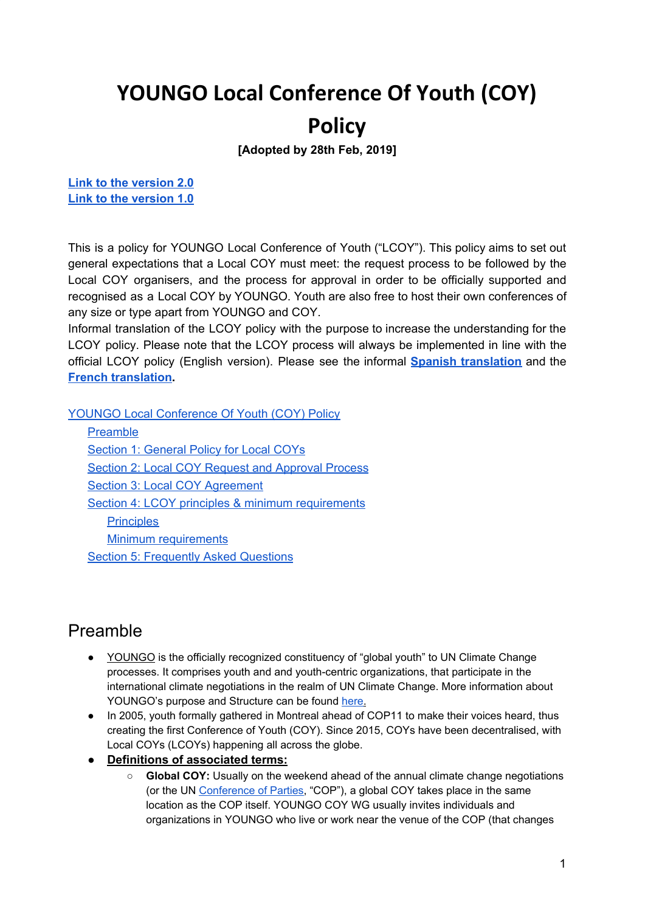# <span id="page-0-0"></span>**YOUNGO Local Conference Of Youth (COY)**

## **Policy**

**[Adopted by 28th Feb, 2019]**

**Link to the [version](https://docs.google.com/document/d/1CC6arjGBNN6QPQu8dYHxiwD0_fWcJgR34snreyRpy0g/edit?usp=sharing) 2.0 Link to the [version](https://docs.google.com/document/d/17uPqteGiHHUNSf1LmceGUKgHb9--TLN37vI0y2vkHqI/edit) 1.0**

This is a policy for YOUNGO Local Conference of Youth ("LCOY"). This policy aims to set out general expectations that a Local COY must meet: the request process to be followed by the Local COY organisers, and the process for approval in order to be officially supported and recognised as a Local COY by YOUNGO. Youth are also free to host their own conferences of any size or type apart from YOUNGO and COY.

Informal translation of the LCOY policy with the purpose to increase the understanding for the LCOY policy. Please note that the LCOY process will always be implemented in line with the official LCOY policy (English version). Please see the informal **Spanish [translation](https://docs.google.com/document/d/1cL4MS0vDrRZB-MX9RHjJcNRw3-jDp0Eslg84YpyB5hs/edit?usp=sharing)** and the **French [translation](https://docs.google.com/document/d/1nhxbHll_1ILD173vs7HAqZKrglhFEMt6kc4JVgVuCss/edit?usp=sharing).**

YOUNGO Local [Conference](#page-0-0) Of Youth (COY) Policy

**[Preamble](#page-0-1)** Section 1: [General](#page-1-0) Policy for Local COYs Section 2: Local COY Request and [Approval](#page-3-0) Process Section 3: Local COY [Agreement](#page-5-0) Section 4: LCOY principles & minimum [requirements](#page-6-0) **[Principles](#page-7-0)** Minimum [requirements](#page-8-0) **Section 5: [Frequently](#page-9-0) Asked Questions** 

## <span id="page-0-1"></span>Preamble

- YOUNGO is the officially recognized constituency of "global youth" to UN Climate Change processes. It comprises youth and and youth-centric organizations, that participate in the international climate negotiations in the realm of UN Climate Change. More information about YOUNGO's purpose and Structure can be found [here.](https://docs.google.com/document/d/1Zl6VdrR3zejym3ZglO8rNRZm3x_gKrn7pEQRx3kisJ4/edit)
- In 2005, youth formally gathered in Montreal ahead of COP11 to make their voices heard, thus creating the first Conference of Youth (COY). Since 2015, COYs have been decentralised, with Local COYs (LCOYs) happening all across the globe.
- **● Definitions of associated terms:**
	- **Global COY:** Usually on the weekend ahead of the annual climate change negotiations (or the UN [Conference](http://unfccc.int/bodies/body/6383.php) of Parties, "COP"), a global COY takes place in the same location as the COP itself. YOUNGO COY WG usually invites individuals and organizations in YOUNGO who live or work near the venue of the COP (that changes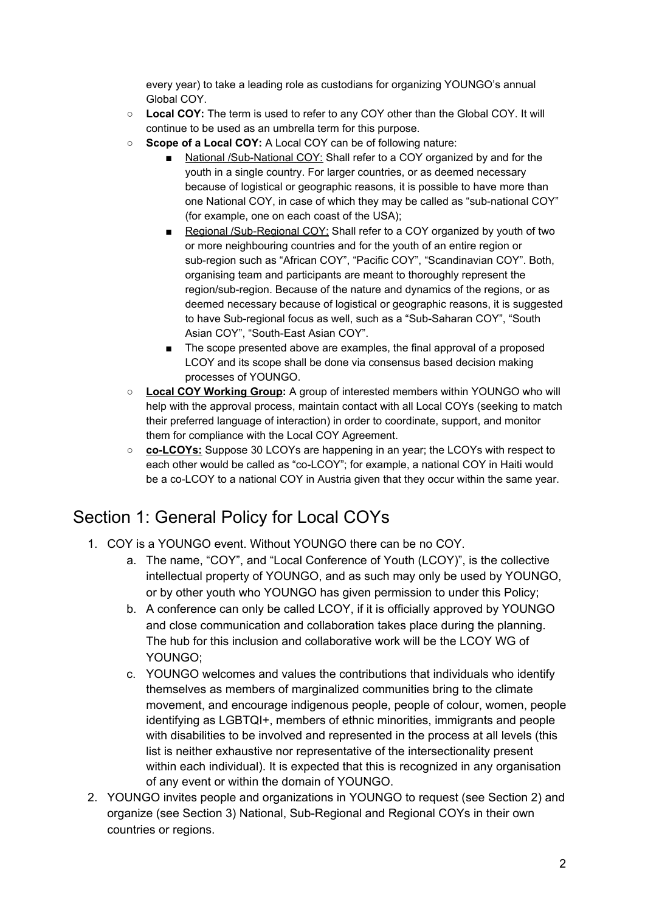every year) to take a leading role as custodians for organizing YOUNGO's annual Global COY.

- **Local COY:** The term is used to refer to any COY other than the Global COY. It will continue to be used as an umbrella term for this purpose.
- **○ Scope of a Local COY:** A Local COY can be of following nature:
	- National /Sub-National COY: Shall refer to a COY organized by and for the youth in a single country. For larger countries, or as deemed necessary because of logistical or geographic reasons, it is possible to have more than one National COY, in case of which they may be called as "sub-national COY" (for example, one on each coast of the USA);
	- Regional /Sub-Regional COY: Shall refer to a COY organized by youth of two or more neighbouring countries and for the youth of an entire region or sub-region such as "African COY", "Pacific COY", "Scandinavian COY". Both, organising team and participants are meant to thoroughly represent the region/sub-region. Because of the nature and dynamics of the regions, or as deemed necessary because of logistical or geographic reasons, it is suggested to have Sub-regional focus as well, such as a "Sub-Saharan COY", "South Asian COY", "South-East Asian COY".
	- The scope presented above are examples, the final approval of a proposed LCOY and its scope shall be done via consensus based decision making processes of YOUNGO.
- **Local COY Working Group:** A group of interested members within YOUNGO who will help with the approval process, maintain contact with all Local COYs (seeking to match their preferred language of interaction) in order to coordinate, support, and monitor them for compliance with the Local COY Agreement.
- **○ co-LCOYs:** Suppose 30 LCOYs are happening in an year; the LCOYs with respect to each other would be called as "co-LCOY"; for example, a national COY in Haiti would be a co-LCOY to a national COY in Austria given that they occur within the same year.

## <span id="page-1-0"></span>Section 1: General Policy for Local COYs

- 1. COY is a YOUNGO event. Without YOUNGO there can be no COY.
	- a. The name, "COY", and "Local Conference of Youth (LCOY)", is the collective intellectual property of YOUNGO, and as such may only be used by YOUNGO, or by other youth who YOUNGO has given permission to under this Policy;
	- b. A conference can only be called LCOY, if it is officially approved by YOUNGO and close communication and collaboration takes place during the planning. The hub for this inclusion and collaborative work will be the LCOY WG of YOUNGO;
	- c. YOUNGO welcomes and values the contributions that individuals who identify themselves as members of marginalized communities bring to the climate movement, and encourage indigenous people, people of colour, women, people identifying as LGBTQI+, members of ethnic minorities, immigrants and people with disabilities to be involved and represented in the process at all levels (this list is neither exhaustive nor representative of the intersectionality present within each individual). It is expected that this is recognized in any organisation of any event or within the domain of YOUNGO.
- 2. YOUNGO invites people and organizations in YOUNGO to request (see Section 2) and organize (see Section 3) National, Sub-Regional and Regional COYs in their own countries or regions.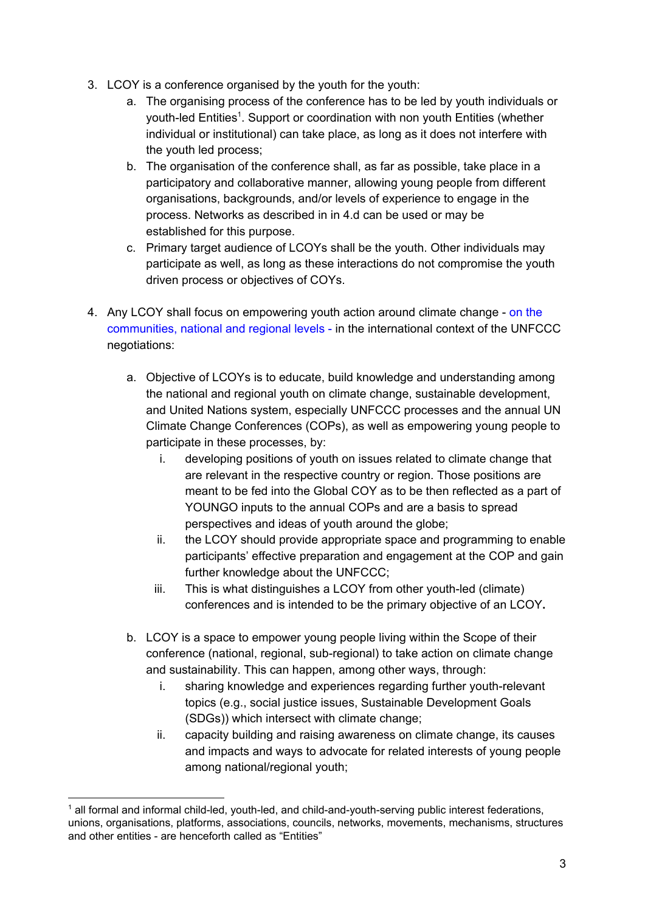- 3. LCOY is a conference organised by the youth for the youth:
	- a. The organising process of the conference has to be led by youth individuals or youth-led Entities<sup>1</sup>. Support or coordination with non youth Entities (whether individual or institutional) can take place, as long as it does not interfere with the youth led process;
	- b. The organisation of the conference shall, as far as possible, take place in a participatory and collaborative manner, allowing young people from different organisations, backgrounds, and/or levels of experience to engage in the process. Networks as described in in 4.d can be used or may be established for this purpose.
	- c. Primary target audience of LCOYs shall be the youth. Other individuals may participate as well, as long as these interactions do not compromise the youth driven process or objectives of COYs.
- 4. Any LCOY shall focus on empowering youth action around climate change on the communities, national and regional levels - in the international context of the UNFCCC negotiations:
	- a. Objective of LCOYs is to educate, build knowledge and understanding among the national and regional youth on climate change, sustainable development, and United Nations system, especially UNFCCC processes and the annual UN Climate Change Conferences (COPs), as well as empowering young people to participate in these processes, by:
		- i. developing positions of youth on issues related to climate change that are relevant in the respective country or region. Those positions are meant to be fed into the Global COY as to be then reflected as a part of YOUNGO inputs to the annual COPs and are a basis to spread perspectives and ideas of youth around the globe;
		- ii. the LCOY should provide appropriate space and programming to enable participants' effective preparation and engagement at the COP and gain further knowledge about the UNFCCC;
		- iii. This is what distinguishes a LCOY from other youth-led (climate) conferences and is intended to be the primary objective of an LCOY**.**
	- b. LCOY is a space to empower young people living within the Scope of their conference (national, regional, sub-regional) to take action on climate change and sustainability. This can happen, among other ways, through:
		- i. sharing knowledge and experiences regarding further youth-relevant topics (e.g., social justice issues, Sustainable Development Goals (SDGs)) which intersect with climate change;
		- ii. capacity building and raising awareness on climate change, its causes and impacts and ways to advocate for related interests of young people among national/regional youth;

<sup>&</sup>lt;sup>1</sup> all formal and informal child-led, youth-led, and child-and-youth-serving public interest federations, unions, organisations, platforms, associations, councils, networks, movements, mechanisms, structures and other entities - are henceforth called as "Entities"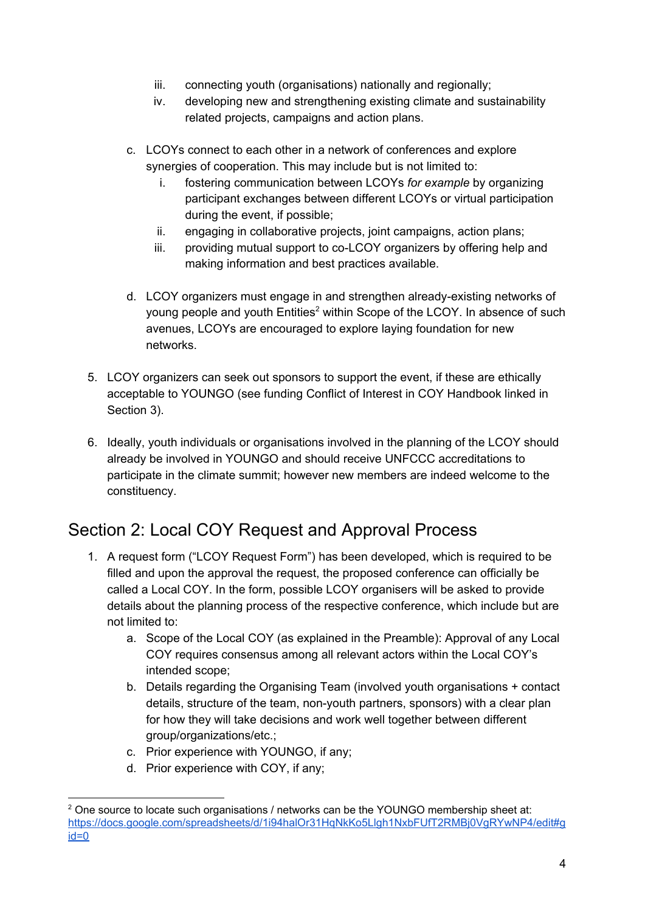- iii. connecting youth (organisations) nationally and regionally;
- iv. developing new and strengthening existing climate and sustainability related projects, campaigns and action plans.
- c. LCOYs connect to each other in a network of conferences and explore synergies of cooperation. This may include but is not limited to:
	- i. fostering communication between LCOYs *for example* by organizing participant exchanges between different LCOYs or virtual participation during the event, if possible;
	- ii. engaging in collaborative projects, joint campaigns, action plans;
	- iii. providing mutual support to co-LCOY organizers by offering help and making information and best practices available.
- d. LCOY organizers must engage in and strengthen already-existing networks of young people and youth Entities<sup>2</sup> within Scope of the LCOY. In absence of such avenues, LCOYs are encouraged to explore laying foundation for new networks.
- 5. LCOY organizers can seek out sponsors to support the event, if these are ethically acceptable to YOUNGO (see funding Conflict of Interest in COY Handbook linked in Section 3).
- 6. Ideally, youth individuals or organisations involved in the planning of the LCOY should already be involved in YOUNGO and should receive UNFCCC accreditations to participate in the climate summit; however new members are indeed welcome to the constituency.

## <span id="page-3-0"></span>Section 2: Local COY Request and Approval Process

- 1. A request form ("LCOY Request Form") has been developed, which is required to be filled and upon the approval the request, the proposed conference can officially be called a Local COY. In the form, possible LCOY organisers will be asked to provide details about the planning process of the respective conference, which include but are not limited to:
	- a. Scope of the Local COY (as explained in the Preamble): Approval of any Local COY requires consensus among all relevant actors within the Local COY's intended scope;
	- b. Details regarding the Organising Team (involved youth organisations + contact details, structure of the team, non-youth partners, sponsors) with a clear plan for how they will take decisions and work well together between different group/organizations/etc.;
	- c. Prior experience with YOUNGO, if any;
	- d. Prior experience with COY, if any;

<sup>&</sup>lt;sup>2</sup> One source to locate such organisations / networks can be the YOUNGO membership sheet at: [https://docs.google.com/spreadsheets/d/1i94halOr31HqNkKo5Llgh1NxbFUfT2RMBj0VgRYwNP4/edit#g](https://docs.google.com/spreadsheets/d/1i94halOr31HqNkKo5Llgh1NxbFUfT2RMBj0VgRYwNP4/edit#gid=0) [id=0](https://docs.google.com/spreadsheets/d/1i94halOr31HqNkKo5Llgh1NxbFUfT2RMBj0VgRYwNP4/edit#gid=0)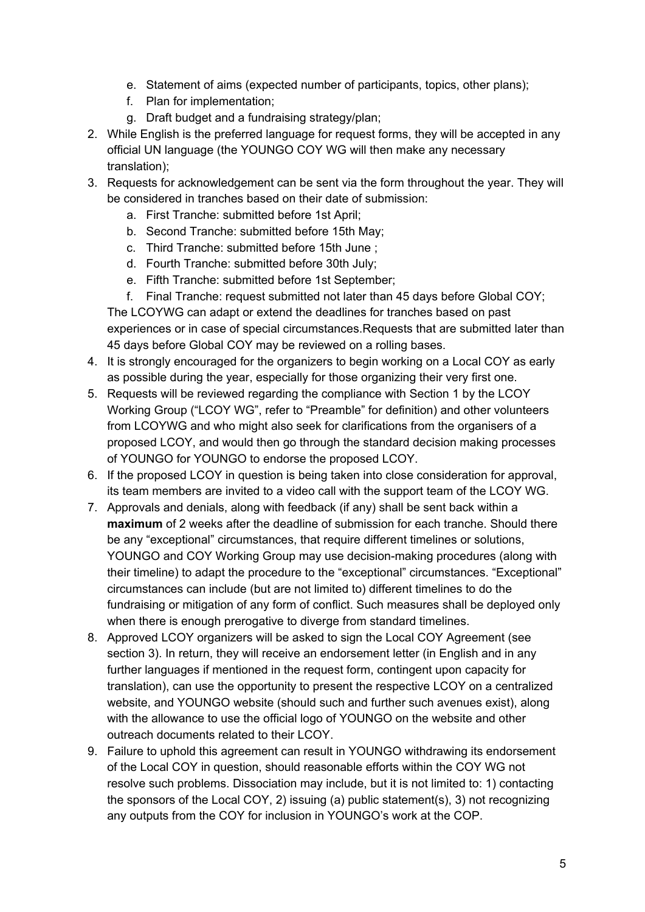- e. Statement of aims (expected number of participants, topics, other plans);
- f. Plan for implementation;
- g. Draft budget and a fundraising strategy/plan;
- 2. While English is the preferred language for request forms, they will be accepted in any official UN language (the YOUNGO COY WG will then make any necessary translation);
- 3. Requests for acknowledgement can be sent via the form throughout the year. They will be considered in tranches based on their date of submission:
	- a. First Tranche: submitted before 1st April;
	- b. Second Tranche: submitted before 15th May;
	- c. Third Tranche: submitted before 15th June ;
	- d. Fourth Tranche: submitted before 30th July;
	- e. Fifth Tranche: submitted before 1st September;
	- f. Final Tranche: request submitted not later than 45 days before Global COY;

The LCOYWG can adapt or extend the deadlines for tranches based on past experiences or in case of special circumstances.Requests that are submitted later than 45 days before Global COY may be reviewed on a rolling bases.

- 4. It is strongly encouraged for the organizers to begin working on a Local COY as early as possible during the year, especially for those organizing their very first one.
- 5. Requests will be reviewed regarding the compliance with Section 1 by the LCOY Working Group ("LCOY WG", refer to "Preamble" for definition) and other volunteers from LCOYWG and who might also seek for clarifications from the organisers of a proposed LCOY, and would then go through the standard decision making processes of YOUNGO for YOUNGO to endorse the proposed LCOY.
- 6. If the proposed LCOY in question is being taken into close consideration for approval, its team members are invited to a video call with the support team of the LCOY WG.
- 7. Approvals and denials, along with feedback (if any) shall be sent back within a **maximum** of 2 weeks after the deadline of submission for each tranche. Should there be any "exceptional" circumstances, that require different timelines or solutions, YOUNGO and COY Working Group may use decision-making procedures (along with their timeline) to adapt the procedure to the "exceptional" circumstances. "Exceptional" circumstances can include (but are not limited to) different timelines to do the fundraising or mitigation of any form of conflict. Such measures shall be deployed only when there is enough prerogative to diverge from standard timelines.
- 8. Approved LCOY organizers will be asked to sign the Local COY Agreement (see section 3). In return, they will receive an endorsement letter (in English and in any further languages if mentioned in the request form, contingent upon capacity for translation), can use the opportunity to present the respective LCOY on a centralized website, and YOUNGO website (should such and further such avenues exist), along with the allowance to use the official logo of YOUNGO on the website and other outreach documents related to their LCOY.
- 9. Failure to uphold this agreement can result in YOUNGO withdrawing its endorsement of the Local COY in question, should reasonable efforts within the COY WG not resolve such problems. Dissociation may include, but it is not limited to: 1) contacting the sponsors of the Local COY, 2) issuing (a) public statement(s), 3) not recognizing any outputs from the COY for inclusion in YOUNGO's work at the COP.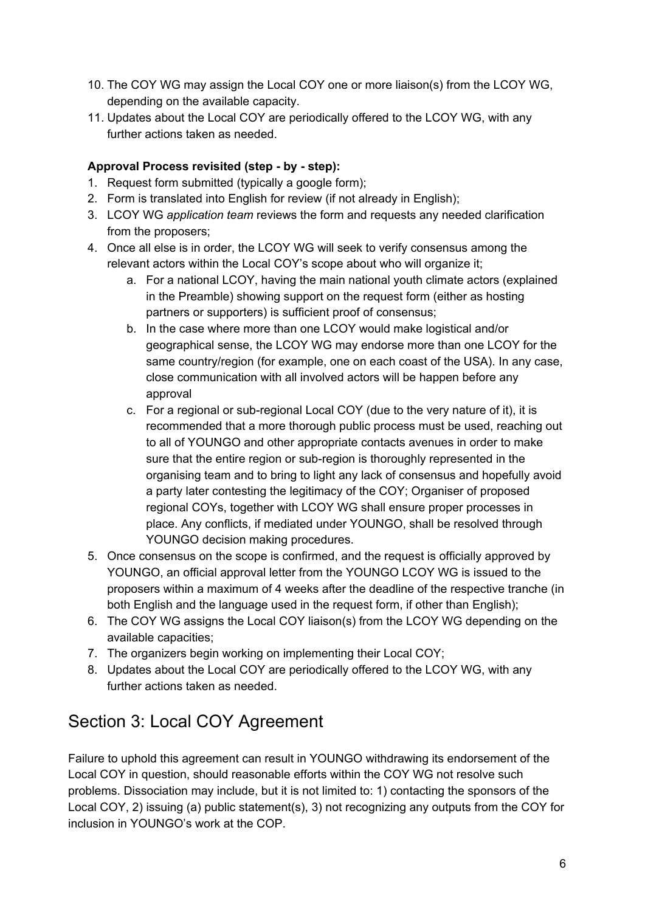- 10. The COY WG may assign the Local COY one or more liaison(s) from the LCOY WG, depending on the available capacity.
- 11. Updates about the Local COY are periodically offered to the LCOY WG, with any further actions taken as needed.

### **Approval Process revisited (step - by - step):**

- 1. Request form submitted (typically a google form);
- 2. Form is translated into English for review (if not already in English);
- 3. LCOY WG *application team* reviews the form and requests any needed clarification from the proposers;
- 4. Once all else is in order, the LCOY WG will seek to verify consensus among the relevant actors within the Local COY's scope about who will organize it;
	- a. For a national LCOY, having the main national youth climate actors (explained in the Preamble) showing support on the request form (either as hosting partners or supporters) is sufficient proof of consensus;
	- b. In the case where more than one LCOY would make logistical and/or geographical sense, the LCOY WG may endorse more than one LCOY for the same country/region (for example, one on each coast of the USA). In any case, close communication with all involved actors will be happen before any approval
	- c. For a regional or sub-regional Local COY (due to the very nature of it), it is recommended that a more thorough public process must be used, reaching out to all of YOUNGO and other appropriate contacts avenues in order to make sure that the entire region or sub-region is thoroughly represented in the organising team and to bring to light any lack of consensus and hopefully avoid a party later contesting the legitimacy of the COY; Organiser of proposed regional COYs, together with LCOY WG shall ensure proper processes in place. Any conflicts, if mediated under YOUNGO, shall be resolved through YOUNGO decision making procedures.
- 5. Once consensus on the scope is confirmed, and the request is officially approved by YOUNGO, an official approval letter from the YOUNGO LCOY WG is issued to the proposers within a maximum of 4 weeks after the deadline of the respective tranche (in both English and the language used in the request form, if other than English);
- 6. The COY WG assigns the Local COY liaison(s) from the LCOY WG depending on the available capacities;
- 7. The organizers begin working on implementing their Local COY;
- 8. Updates about the Local COY are periodically offered to the LCOY WG, with any further actions taken as needed.

## <span id="page-5-0"></span>Section 3: Local COY Agreement

Failure to uphold this agreement can result in YOUNGO withdrawing its endorsement of the Local COY in question, should reasonable efforts within the COY WG not resolve such problems. Dissociation may include, but it is not limited to: 1) contacting the sponsors of the Local COY, 2) issuing (a) public statement(s), 3) not recognizing any outputs from the COY for inclusion in YOUNGO's work at the COP.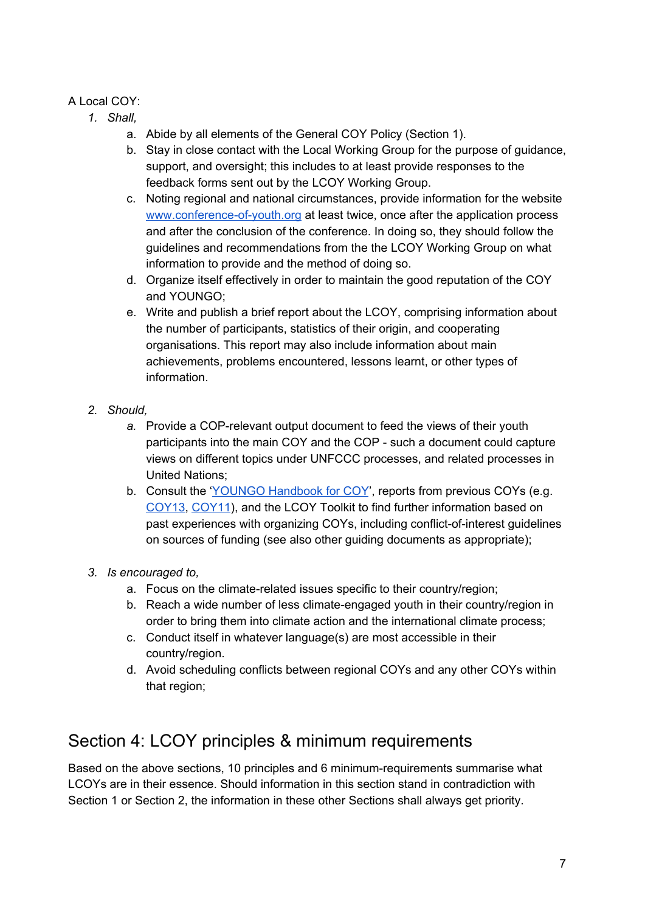### A Local COY:

- *1. Shall,*
	- a. Abide by all elements of the General COY Policy (Section 1).
	- b. Stay in close contact with the Local Working Group for the purpose of guidance, support, and oversight; this includes to at least provide responses to the feedback forms sent out by the LCOY Working Group.
	- c. Noting regional and national circumstances, provide information for the website [www.conference-of-youth.org](http://www.conference-of-youth.org/) at least twice, once after the application process and after the conclusion of the conference. In doing so, they should follow the guidelines and recommendations from the the LCOY Working Group on what information to provide and the method of doing so.
	- d. Organize itself effectively in order to maintain the good reputation of the COY and YOUNGO;
	- e. Write and publish a brief report about the LCOY, comprising information about the number of participants, statistics of their origin, and cooperating organisations. This report may also include information about main achievements, problems encountered, lessons learnt, or other types of information.
- *2. Should,*
	- *a.* Provide a COP-relevant output document to feed the views of their youth participants into the main COY and the COP - such a document could capture views on different topics under UNFCCC processes, and related processes in United Nations;
	- b. Consult the 'YOUNGO [Handbook](https://drive.google.com/file/d/0B1eDnFbtnzoddmlFMjB1eDlBeDA/view?usp=sharing) for COY', reports from previous COYs (e.g. [COY13](https://drive.google.com/file/d/1JztYCKZQUC6-VHAKedqQu4eBaLAujOuJ/view?usp=sharing), [COY11](http://coy11.org/Rapport-Activite-COY11.pdf)), and the LCOY Toolkit to find further information based on past experiences with organizing COYs, including conflict-of-interest guidelines on sources of funding (see also other guiding documents as appropriate);
- *3. Is encouraged to,*
	- a. Focus on the climate-related issues specific to their country/region;
	- b. Reach a wide number of less climate-engaged youth in their country/region in order to bring them into climate action and the international climate process;
	- c. Conduct itself in whatever language(s) are most accessible in their country/region.
	- d. Avoid scheduling conflicts between regional COYs and any other COYs within that region;

## <span id="page-6-0"></span>Section 4: LCOY principles & minimum requirements

Based on the above sections, 10 principles and 6 minimum-requirements summarise what LCOYs are in their essence. Should information in this section stand in contradiction with Section 1 or Section 2, the information in these other Sections shall always get priority.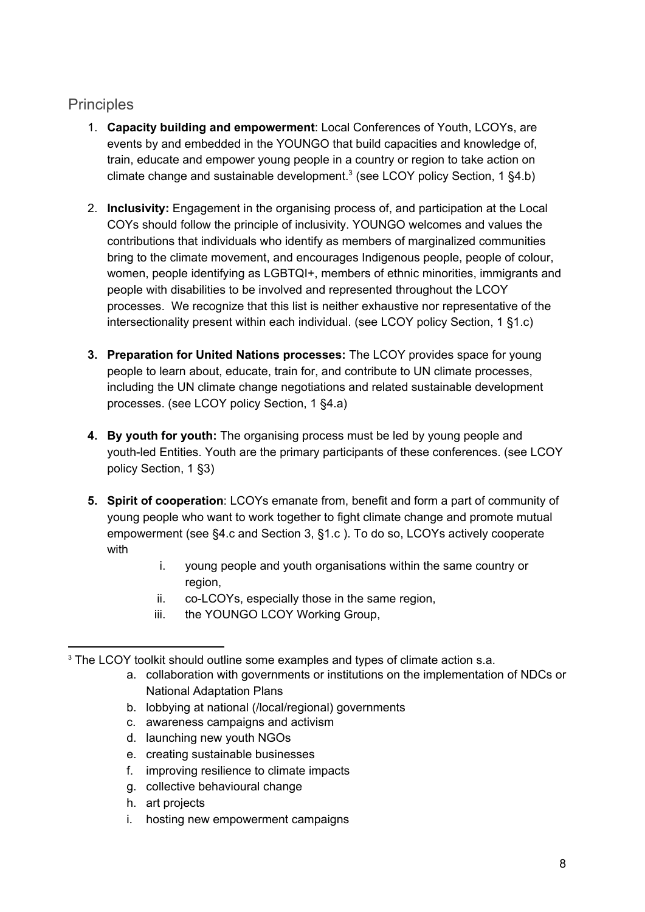## <span id="page-7-0"></span>**Principles**

- 1. **Capacity building and empowerment**: Local Conferences of Youth, LCOYs, are events by and embedded in the YOUNGO that build capacities and knowledge of, train, educate and empower young people in a country or region to take action on climate change and sustainable development.<sup>3</sup> (see LCOY policy Section, 1  $\S 4.b$ )
- 2. **Inclusivity:** Engagement in the organising process of, and participation at the Local COYs should follow the principle of inclusivity. YOUNGO welcomes and values the contributions that individuals who identify as members of marginalized communities bring to the climate movement, and encourages Indigenous people, people of colour, women, people identifying as LGBTQI+, members of ethnic minorities, immigrants and people with disabilities to be involved and represented throughout the LCOY processes. We recognize that this list is neither exhaustive nor representative of the intersectionality present within each individual. (see LCOY policy Section, 1 §1.c)
- **3. Preparation for United Nations processes:** The LCOY provides space for young people to learn about, educate, train for, and contribute to UN climate processes, including the UN climate change negotiations and related sustainable development processes. (see LCOY policy Section, 1 §4.a)
- **4. By youth for youth:** The organising process must be led by young people and youth-led Entities. Youth are the primary participants of these conferences. (see LCOY policy Section, 1 §3)
- **5. Spirit of cooperation**: LCOYs emanate from, benefit and form a part of community of young people who want to work together to fight climate change and promote mutual empowerment (see §4.c and Section 3, §1.c ). To do so, LCOYs actively cooperate with
	- i. young people and youth organisations within the same country or region,
	- ii. co-LCOYs, especially those in the same region,
	- iii. the YOUNGO LCOY Working Group,

- a. collaboration with governments or institutions on the implementation of NDCs or National Adaptation Plans
- b. lobbying at national (/local/regional) governments
- c. awareness campaigns and activism
- d. launching new youth NGOs
- e. creating sustainable businesses
- f. improving resilience to climate impacts
- g. collective behavioural change
- h. art projects
- i. hosting new empowerment campaigns

<sup>&</sup>lt;sup>3</sup> The LCOY toolkit should outline some examples and types of climate action s.a.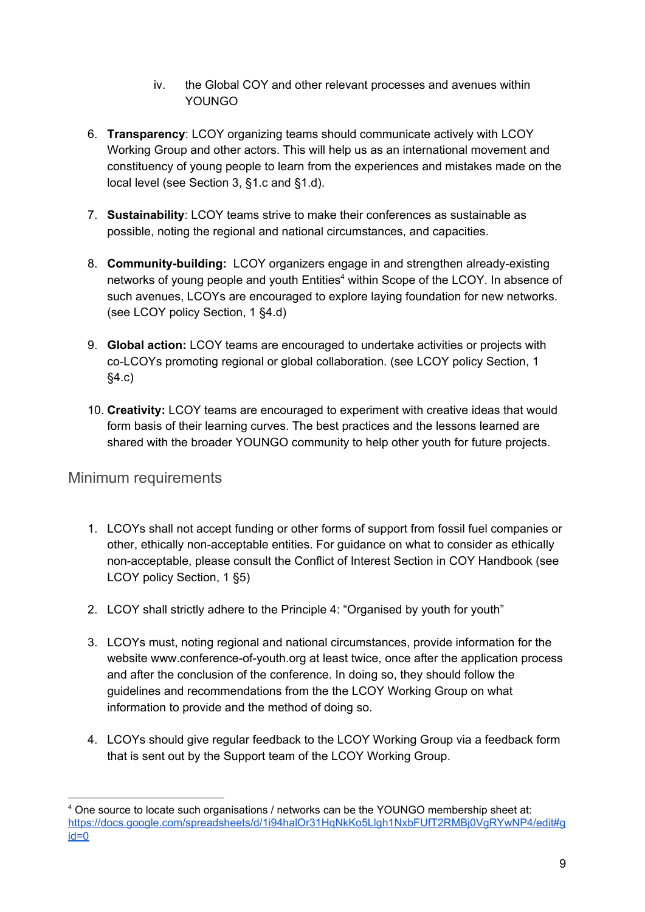- iv. the Global COY and other relevant processes and avenues within YOUNGO
- 6. **Transparency**: LCOY organizing teams should communicate actively with LCOY Working Group and other actors. This will help us as an international movement and constituency of young people to learn from the experiences and mistakes made on the local level (see Section 3, §1.c and §1.d).
- 7. **Sustainability**: LCOY teams strive to make their conferences as sustainable as possible, noting the regional and national circumstances, and capacities.
- 8. **Community-building:** LCOY organizers engage in and strengthen already-existing networks of young people and youth Entities<sup>4</sup> within Scope of the LCOY. In absence of such avenues, LCOYs are encouraged to explore laying foundation for new networks. (see LCOY policy Section, 1 §4.d)
- 9. **Global action:** LCOY teams are encouraged to undertake activities or projects with co-LCOYs promoting regional or global collaboration. (see LCOY policy Section, 1 §4.c)
- 10. **Creativity:** LCOY teams are encouraged to experiment with creative ideas that would form basis of their learning curves. The best practices and the lessons learned are shared with the broader YOUNGO community to help other youth for future projects.

## <span id="page-8-0"></span>Minimum requirements

- 1. LCOYs shall not accept funding or other forms of support from fossil fuel companies or other, ethically non-acceptable entities. For guidance on what to consider as ethically non-acceptable, please consult the Conflict of Interest Section in COY [Handbook](https://drive.google.com/file/d/0B1eDnFbtnzoddmlFMjB1eDlBeDA/view?usp=sharing) (see LCOY policy Section, 1 §5)
- 2. LCOY shall strictly adhere to the Principle 4: "Organised by youth for youth"
- 3. LCOYs must, noting regional and national circumstances, provide information for the website [www.conference-of-youth.org](http://www.conference-of-youth.org/) at least twice, once after the application process and after the conclusion of the conference. In doing so, they should follow the guidelines and recommendations from the the LCOY Working Group on what information to provide and the method of doing so.
- 4. LCOYs should give regular feedback to the LCOY Working Group via a feedback form that is sent out by the Support team of the LCOY Working Group.

<sup>4</sup> One source to locate such organisations / networks can be the YOUNGO membership sheet at: [https://docs.google.com/spreadsheets/d/1i94halOr31HqNkKo5Llgh1NxbFUfT2RMBj0VgRYwNP4/edit#g](https://docs.google.com/spreadsheets/d/1i94halOr31HqNkKo5Llgh1NxbFUfT2RMBj0VgRYwNP4/edit#gid=0) [id=0](https://docs.google.com/spreadsheets/d/1i94halOr31HqNkKo5Llgh1NxbFUfT2RMBj0VgRYwNP4/edit#gid=0)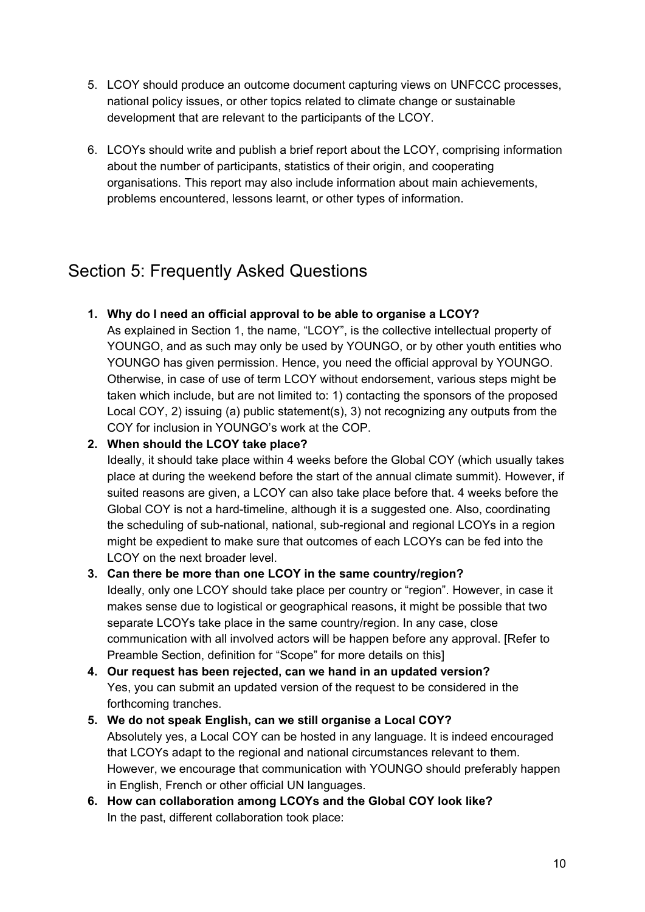- 5. LCOY should produce an outcome document capturing views on UNFCCC processes, national policy issues, or other topics related to climate change or sustainable development that are relevant to the participants of the LCOY.
- 6. LCOYs should write and publish a brief report about the LCOY, comprising information about the number of participants, statistics of their origin, and cooperating organisations. This report may also include information about main achievements, problems encountered, lessons learnt, or other types of information.

## <span id="page-9-0"></span>Section 5: Frequently Asked Questions

### **1. Why do I need an official approval to be able to organise a LCOY?**

As explained in Section 1, the name, "LCOY", is the collective intellectual property of YOUNGO, and as such may only be used by YOUNGO, or by other youth entities who YOUNGO has given permission. Hence, you need the official approval by YOUNGO. Otherwise, in case of use of term LCOY without endorsement, various steps might be taken which include, but are not limited to: 1) contacting the sponsors of the proposed Local COY, 2) issuing (a) public statement(s), 3) not recognizing any outputs from the COY for inclusion in YOUNGO's work at the COP.

### **2. When should the LCOY take place?**

Ideally, it should take place within 4 weeks before the Global COY (which usually takes place at during the weekend before the start of the annual climate summit). However, if suited reasons are given, a LCOY can also take place before that. 4 weeks before the Global COY is not a hard-timeline, although it is a suggested one. Also, coordinating the scheduling of sub-national, national, sub-regional and regional LCOYs in a region might be expedient to make sure that outcomes of each LCOYs can be fed into the LCOY on the next broader level.

### **3. Can there be more than one LCOY in the same country/region?**

Ideally, only one LCOY should take place per country or "region". However, in case it makes sense due to logistical or geographical reasons, it might be possible that two separate LCOYs take place in the same country/region. In any case, close communication with all involved actors will be happen before any approval. [Refer to Preamble Section, definition for "Scope" for more details on this]

- **4. Our request has been rejected, can we hand in an updated version?** Yes, you can submit an updated version of the request to be considered in the forthcoming tranches.
- **5. We do not speak English, can we still organise a Local COY?** Absolutely yes, a Local COY can be hosted in any language. It is indeed encouraged that LCOYs adapt to the regional and national circumstances relevant to them. However, we encourage that communication with YOUNGO should preferably happen in English, French or other official UN languages.
- **6. How can collaboration among LCOYs and the Global COY look like?** In the past, different collaboration took place: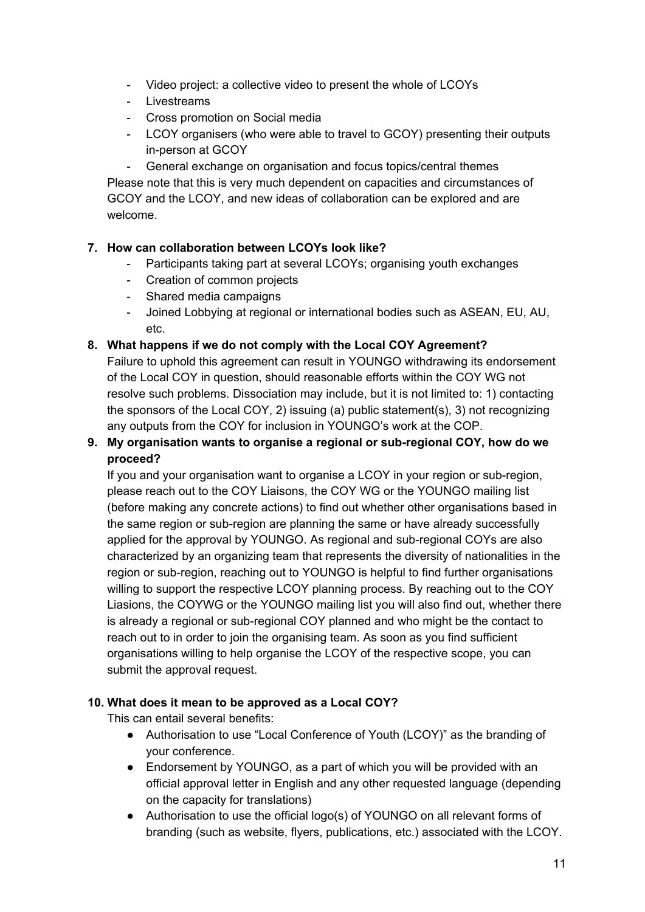- Video project: a collective video to present the whole of LCOYs
- Livestreams
- Cross promotion on Social media
- LCOY organisers (who were able to travel to GCOY) presenting their outputs in-person at GCOY

- General exchange on organisation and focus topics/central themes Please note that this is very much dependent on capacities and circumstances of GCOY and the LCOY, and new ideas of collaboration can be explored and are welcome.

### **7. How can collaboration between LCOYs look like?**

- Participants taking part at several LCOYs; organising youth exchanges
- Creation of common projects
- Shared media campaigns
- Joined Lobbying at regional or international bodies such as ASEAN, EU, AU, etc.

#### **8. What happens if we do not comply with the Local COY Agreement?**

Failure to uphold this agreement can result in YOUNGO withdrawing its endorsement of the Local COY in question, should reasonable efforts within the COY WG not resolve such problems. Dissociation may include, but it is not limited to: 1) contacting the sponsors of the Local COY, 2) issuing (a) public statement(s), 3) not recognizing any outputs from the COY for inclusion in YOUNGO's work at the COP.

### **9. My organisation wants to organise a regional or sub-regional COY, how do we proceed?**

If you and your organisation want to organise a LCOY in your region or sub-region, please reach out to the COY Liaisons, the COY WG or the YOUNGO mailing list (before making any concrete actions) to find out whether other organisations based in the same region or sub-region are planning the same or have already successfully applied for the approval by YOUNGO. As regional and sub-regional COYs are also characterized by an organizing team that represents the diversity of nationalities in the region or sub-region, reaching out to YOUNGO is helpful to find further organisations willing to support the respective LCOY planning process. By reaching out to the COY Liasions, the COYWG or the YOUNGO mailing list you will also find out, whether there is already a regional or sub-regional COY planned and who might be the contact to reach out to in order to join the organising team. As soon as you find sufficient organisations willing to help organise the LCOY of the respective scope, you can submit the approval request.

### **10. What does it mean to be approved as a Local COY?**

This can entail several benefits:

- Authorisation to use "Local Conference of Youth (LCOY)" as the branding of your conference.
- Endorsement by YOUNGO, as a part of which you will be provided with an official approval letter in English and any other requested language (depending on the capacity for translations)
- Authorisation to use the official logo(s) of YOUNGO on all relevant forms of branding (such as website, flyers, publications, etc.) associated with the LCOY.